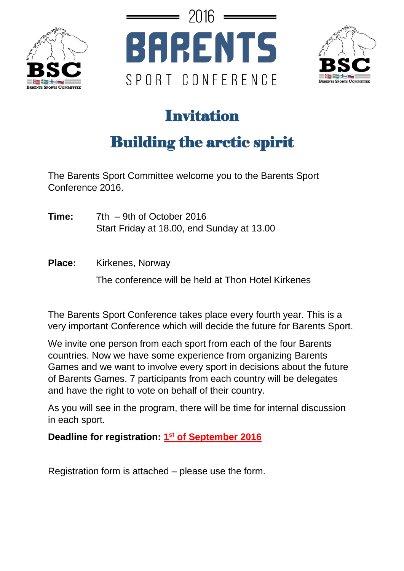





## Invitation

## Building the arctic spirit

The Barents Sport Committee welcome you to the Barents Sport Conference 2016.

- **Time:** 7th 9th of October 2016 Start Friday at 18.00, end Sunday at 13.00
- Place: Kirkenes, Norway The conference will be held at Thon Hotel Kirkenes

The Barents Sport Conference takes place every fourth year. This is a very important Conference which will decide the future for Barents Sport.

We invite one person from each sport from each of the four Barents countries. Now we have some experience from organizing Barents Games and we want to involve every sport in decisions about the future of Barents Games. 7 participants from each country will be delegates and have the right to vote on behalf of their country.

As you will see in the program, there will be time for internal discussion in each sport.

Deadline for registration: 1<sup>st</sup> of September 2016

Registration form is attached – please use the form.